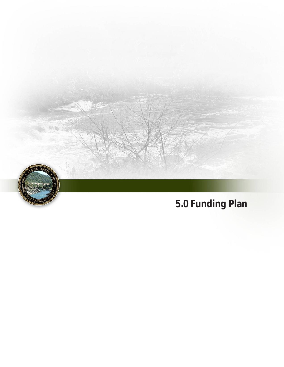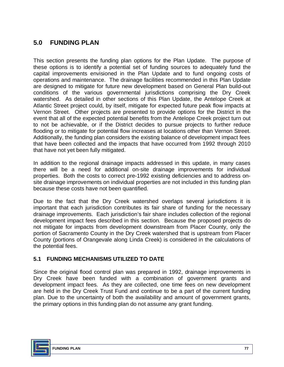# **5.0 FUNDING PLAN**

This section presents the funding plan options for the Plan Update. The purpose of these options is to identify a potential set of funding sources to adequately fund the capital improvements envisioned in the Plan Update and to fund ongoing costs of operations and maintenance. The drainage facilities recommended in this Plan Update are designed to mitigate for future new development based on General Plan build-out conditions of the various governmental jurisdictions comprising the Dry Creek watershed. As detailed in other sections of this Plan Update, the Antelope Creek at Atlantic Street project could, by itself, mitigate for expected future peak flow impacts at Vernon Street. Other projects are presented to provide options for the District in the event that all of the expected potential benefits from the Antelope Creek project turn out to not be achievable, or if the District decides to pursue projects to further reduce flooding or to mitigate for potential flow increases at locations other than Vernon Street. Additionally, the funding plan considers the existing balance of development impact fees that have been collected and the impacts that have occurred from 1992 through 2010 that have not yet been fully mitigated.

In addition to the regional drainage impacts addressed in this update, in many cases there will be a need for additional on-site drainage improvements for individual properties. Both the costs to correct pre-1992 existing deficiencies and to address onsite drainage improvements on individual properties are not included in this funding plan because these costs have not been quantified.

Due to the fact that the Dry Creek watershed overlaps several jurisdictions it is important that each jurisdiction contributes its fair share of funding for the necessary drainage improvements. Each jurisdiction's fair share includes collection of the regional development impact fees described in this section. Because the proposed projects do not mitigate for impacts from development downstream from Placer County, only the portion of Sacramento County in the Dry Creek watershed that is upstream from Placer County (portions of Orangevale along Linda Creek) is considered in the calculations of the potential fees.

# **5.1 FUNDING MECHANISMS UTILIZED TO DATE**

Since the original flood control plan was prepared in 1992, drainage improvements in Dry Creek have been funded with a combination of government grants and development impact fees. As they are collected, one time fees on new development are held in the Dry Creek Trust Fund and continue to be a part of the current funding plan. Due to the uncertainty of both the availability and amount of government grants, the primary options in this funding plan do not assume any grant funding.

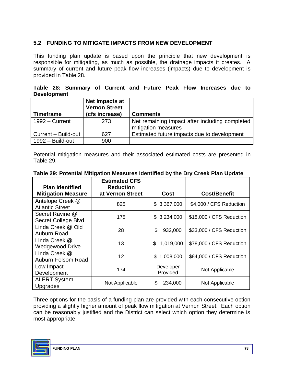# **5.2 FUNDING TO MITIGATE IMPACTS FROM NEW DEVELOPMENT**

This funding plan update is based upon the principle that new development is responsible for mitigating, as much as possible, the drainage impacts it creates. A summary of current and future peak flow increases (impacts) due to development is provided in Table 28.

|                    |  |  |  |  | Table 28: Summary of Current and Future Peak Flow Increases due to |  |
|--------------------|--|--|--|--|--------------------------------------------------------------------|--|
| <b>Development</b> |  |  |  |  |                                                                    |  |

| <b>Timeframe</b>    | Net Impacts at<br><b>Vernon Street</b><br>(cfs increase) | <b>Comments</b>                                                       |
|---------------------|----------------------------------------------------------|-----------------------------------------------------------------------|
| $1992 -$ Current    | 273                                                      | Net remaining impact after including completed<br>mitigation measures |
| Current - Build-out | 627                                                      | Estimated future impacts due to development                           |
| 1992 - Build-out    | 900                                                      |                                                                       |

Potential mitigation measures and their associated estimated costs are presented in Table 29.

| <b>Plan Identified</b><br><b>Mitigation Measure</b> | <b>Estimated CFS</b><br><b>Reduction</b><br>at Vernon Street | <b>Cost</b>           | <b>Cost/Benefit</b>      |  |
|-----------------------------------------------------|--------------------------------------------------------------|-----------------------|--------------------------|--|
| Antelope Creek @<br><b>Atlantic Street</b>          | 825                                                          | \$3,367,000           | \$4,000 / CFS Reduction  |  |
| Secret Ravine @<br>Secret College Blvd              | 175                                                          | \$3,234,000           | \$18,000 / CFS Reduction |  |
| Linda Creek @ Old<br>Auburn Road                    | 28                                                           | \$<br>932,000         | \$33,000 / CFS Reduction |  |
| Linda Creek @<br><b>Wedgewood Drive</b>             | 13                                                           | 1,019,000<br>\$       | \$78,000 / CFS Reduction |  |
| Linda Creek @<br>Auburn-Folsom Road                 | 12                                                           | \$1,008,000           | \$84,000 / CFS Reduction |  |
| Low Impact<br>Development                           | 174                                                          | Developer<br>Provided | Not Applicable           |  |
| <b>ALERT System</b><br>Upgrades                     | Not Applicable                                               | \$<br>234,000         | Not Applicable           |  |

### **Table 29: Potential Mitigation Measures Identified by the Dry Creek Plan Update**

Three options for the basis of a funding plan are provided with each consecutive option providing a slightly higher amount of peak flow mitigation at Vernon Street. Each option can be reasonably justified and the District can select which option they determine is most appropriate.

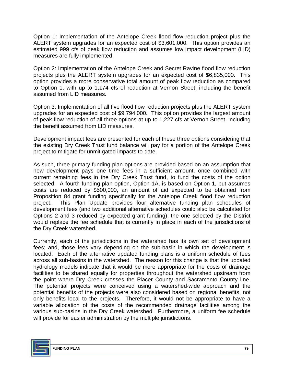Option 1: Implementation of the Antelope Creek flood flow reduction project plus the ALERT system upgrades for an expected cost of \$3,601,000. This option provides an estimated 999 cfs of peak flow reduction and assumes low impact development (LID) measures are fully implemented.

Option 2: Implementation of the Antelope Creek and Secret Ravine flood flow reduction projects plus the ALERT system upgrades for an expected cost of \$6,835,000. This option provides a more conservative total amount of peak flow reduction as compared to Option 1, with up to 1,174 cfs of reduction at Vernon Street, including the benefit assumed from LID measures.

Option 3: Implementation of all five flood flow reduction projects plus the ALERT system upgrades for an expected cost of \$9,794,000. This option provides the largest amount of peak flow reduction of all three options at up to 1,227 cfs at Vernon Street, including the benefit assumed from LID measures.

Development impact fees are presented for each of these three options considering that the existing Dry Creek Trust fund balance will pay for a portion of the Antelope Creek project to mitigate for unmitigated impacts to-date.

As such, three primary funding plan options are provided based on an assumption that new development pays one time fees in a sufficient amount, once combined with current remaining fees in the Dry Creek Trust fund, to fund the costs of the option selected. A fourth funding plan option, Option 1A, is based on Option 1, but assumes costs are reduced by \$500,000, an amount of aid expected to be obtained from Proposition 84 grant funding specifically for the Antelope Creek flood flow reduction project. This Plan Update provides four alternative funding plan schedules of development fees (and two additional alternative schedules could also be calculated for Options 2 and 3 reduced by expected grant funding); the one selected by the District would replace the fee schedule that is currently in place in each of the jurisdictions of the Dry Creek watershed.

Currently, each of the jurisdictions in the watershed has its own set of development fees; and, those fees vary depending on the sub-basin in which the development is located. Each of the alternative updated funding plans is a uniform schedule of fees across all sub-basins in the watershed. The reason for this change is that the updated hydrology models indicate that it would be more appropriate for the costs of drainage facilities to be shared equally for properties throughout the watershed upstream from the point where Dry Creek crosses the Placer County and Sacramento County line. The potential projects were conceived using a watershed-wide approach and the potential benefits of the projects were also considered based on regional benefits, not only benefits local to the projects. Therefore, it would not be appropriate to have a variable allocation of the costs of the recommended drainage facilities among the various sub-basins in the Dry Creek watershed. Furthermore, a uniform fee schedule will provide for easier administration by the multiple jurisdictions.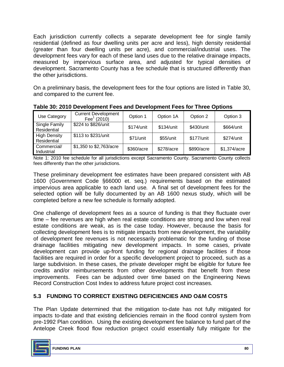Each jurisdiction currently collects a separate development fee for single family residential (defined as four dwelling units per acre and less), high density residential (greater than four dwelling units per acre), and commercial/industrial uses. The development fees vary for each of these land uses due to the relative drainage impacts, measured by impervious surface area, and adjusted for typical densities of development. Sacramento County has a fee schedule that is structured differently than the other jurisdictions.

On a preliminary basis, the development fees for the four options are listed in Table 30, and compared to the current fee.

| Use Category                       | <b>Current Development</b><br>Fee $(2010)$ | Option 1   | Option 1A   | Option 2   | Option 3     |
|------------------------------------|--------------------------------------------|------------|-------------|------------|--------------|
| Single Family<br>Residential       | \$224 to \$826/unit                        | \$174/unit | \$134/unit  | \$430/unit | \$664/unit   |
| <b>High Density</b><br>Residential | \$113 to \$231/unit                        | \$71/unit  | $$55/$ unit | \$177/unit | \$274/unit   |
| Commercial/<br>Industrial          | \$1,350 to \$2,763/acre                    | \$360/acre | \$278/acre  | \$890/acre | \$1,374/acre |

**Table 30: 2010 Development Fees and Development Fees for Three Options**

Note 1: 2010 fee schedule for all jurisdictions except Sacramento County. Sacramento County collects fees differently than the other jurisdictions.

These preliminary development fee estimates have been prepared consistent with AB 1600 (Government Code §66000 et. seq.) requirements based on the estimated impervious area applicable to each land use. A final set of development fees for the selected option will be fully documented by an AB 1600 nexus study, which will be completed before a new fee schedule is formally adopted.

One challenge of development fees as a source of funding is that they fluctuate over time – fee revenues are high when real estate conditions are strong and low when real estate conditions are weak, as is the case today. However, because the basis for collecting development fees is to mitigate impacts from new development, the variability of development fee revenues is not necessarily problematic for the funding of those drainage facilities mitigating new development impacts. In some cases, private development can provide up-front funding for regional drainage facilities if those facilities are required in order for a specific development project to proceed, such as a large subdivision. In these cases, the private developer might be eligible for future fee credits and/or reimbursements from other developments that benefit from these improvements. Fees can be adjusted over time based on the Engineering News Record Construction Cost Index to address future project cost increases.

# **5.3 FUNDING TO CORRECT EXISTING DEFICIENCIES AND O&M COSTS**

The Plan Update determined that the mitigation to-date has not fully mitigated for impacts to-date and that existing deficiencies remain in the flood control system from pre-1992 Plan condition. Using the existing development fee balance to fund part of the Antelope Creek flood flow reduction project could essentially fully mitigate for the

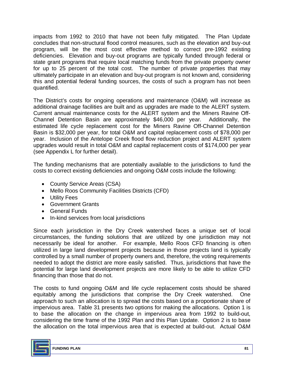impacts from 1992 to 2010 that have not been fully mitigated. The Plan Update concludes that non-structural flood control measures, such as the elevation and buy-out program, will be the most cost effective method to correct pre-1992 existing deficiencies. Elevation and buy-out programs are typically funded through federal or state grant programs that require local matching funds from the private property owner for up to 25 percent of the total cost. The number of private properties that may ultimately participate in an elevation and buy-out program is not known and, considering this and potential federal funding sources, the costs of such a program has not been quantified.

The District's costs for ongoing operations and maintenance (O&M) will increase as additional drainage facilities are built and as upgrades are made to the ALERT system. Current annual maintenance costs for the ALERT system and the Miners Ravine Off-Channel Detention Basin are approximately \$46,000 per year. Additionally, the estimated life cycle replacement cost for the Miners Ravine Off-Channel Detention Basin is \$32,000 per year, for total O&M and capital replacement costs of \$78,000 per year. Inclusion of the Antelope Creek flood flow reduction project and ALERT system upgrades would result in total O&M and capital replacement costs of \$174,000 per year (see Appendix L for further detail).

The funding mechanisms that are potentially available to the jurisdictions to fund the costs to correct existing deficiencies and ongoing O&M costs include the following:

- County Service Areas (CSA)
- · Mello Roos Community Facilities Districts (CFD)
- · Utility Fees
- · Government Grants
- · General Funds
- · In-kind services from local jurisdictions

Since each jurisdiction in the Dry Creek watershed faces a unique set of local circumstances, the funding solutions that are utilized by one jurisdiction may not necessarily be ideal for another. For example, Mello Roos CFD financing is often utilized in large land development projects because in those projects land is typically controlled by a small number of property owners and, therefore, the voting requirements needed to adopt the district are more easily satisfied. Thus, jurisdictions that have the potential for large land development projects are more likely to be able to utilize CFD financing than those that do not.

The costs to fund ongoing O&M and life cycle replacement costs should be shared equitably among the jurisdictions that comprise the Dry Creek watershed. One approach to such an allocation is to spread the costs based on a proportionate share of impervious area. Table 31 presents two options for making the allocations. Option 1 is to base the allocation on the change in impervious area from 1992 to build-out, considering the time frame of the 1992 Plan and this Plan Update. Option 2 is to base the allocation on the total impervious area that is expected at build-out. Actual O&M

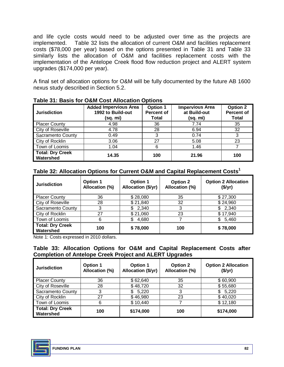and life cycle costs would need to be adjusted over time as the projects are implemented. Table 32 lists the allocation of current O&M and facilities replacement costs (\$78,000 per year) based on the options presented in Table 31 and Table 33 similarly lists the allocation of O&M and facilities replacement costs with the implementation of the Antelope Creek flood flow reduction project and ALERT system upgrades (\$174,000 per year).

A final set of allocation options for O&M will be fully documented by the future AB 1600 nexus study described in Section 5.2.

| <b>Jurisdiction</b>                  | <b>Added Impervious Area</b><br>1992 to Build-out<br>(sq. mi) | <b>Option 1</b><br><b>Percent of</b><br>Total | <b>Impervious Area</b><br>at Build-out<br>(sq. mi) | <b>Option 2</b><br><b>Percent of</b><br><b>Total</b> |
|--------------------------------------|---------------------------------------------------------------|-----------------------------------------------|----------------------------------------------------|------------------------------------------------------|
| <b>Placer County</b>                 | 4.98                                                          | 36                                            | 7.74                                               | 35                                                   |
| City of Roseville                    | 4.78                                                          | 28                                            | 6.94                                               | 32                                                   |
| Sacramento County                    | 0.49                                                          | 3                                             | 0.74                                               | 3                                                    |
| City of Rocklin                      | 3.06                                                          | 27                                            | 5.08                                               | 23                                                   |
| Town of Loomis                       | 1.04                                                          | 6                                             | 1.46                                               |                                                      |
| <b>Total: Dry Creek</b><br>Watershed | 14.35                                                         | 100                                           | 21.96                                              | 100                                                  |

**Table 31: Basis for O&M Cost Allocation Options**

## **Table 32: Allocation Options for Current O&M and Capital Replacement Costs<sup>1</sup>**

| <b>Jurisdiction</b>                  | <b>Option 1</b><br>Allocation (%) | Option 1<br>Allocation (\$/yr) | <b>Option 2</b><br>Allocation (%) | <b>Option 2 Allocation</b><br>(\$/yr) |
|--------------------------------------|-----------------------------------|--------------------------------|-----------------------------------|---------------------------------------|
| <b>Placer County</b>                 | 36                                | \$28,080                       | 35                                | \$27,300                              |
| City of Roseville                    | 28                                | \$21,840                       | 32                                | \$24,960                              |
| <b>Sacramento County</b>             | 3                                 | \$2,340                        | 3                                 | \$2,340                               |
| City of Rocklin                      | 27                                | \$21,060                       | 23                                | \$17,940                              |
| Town of Loomis                       | 6                                 | 4.680                          |                                   | \$<br>5,460                           |
| <b>Total: Dry Creek</b><br>Watershed | 100                               | \$78,000                       | 100                               | \$78,000                              |

Note 1: Costs expressed in 2010 dollars.

### **Table 33: Allocation Options for O&M and Capital Replacement Costs after Completion of Antelope Creek Project and ALERT Upgrades**

| <b>Jurisdiction</b>                  | <b>Option 1</b><br>Allocation (%) | Option 1<br>Allocation (\$/yr) | <b>Option 2</b><br>Allocation (%) | <b>Option 2 Allocation</b><br>$(\frac{5}{yr})$ |
|--------------------------------------|-----------------------------------|--------------------------------|-----------------------------------|------------------------------------------------|
| <b>Placer County</b>                 | 36                                | \$62,640                       | 35                                | \$60,900                                       |
| City of Roseville                    | 28                                | \$48,720                       | 32                                | \$55,680                                       |
| Sacramento County                    | 3                                 | \$5,220                        | 3                                 | \$5,220                                        |
| City of Rocklin                      | 27                                | \$46,980                       | 23                                | \$40,020                                       |
| Town of Loomis                       | 6                                 | \$10,440                       |                                   | \$12,180                                       |
| <b>Total: Dry Creek</b><br>Watershed | 100                               | \$174,000                      | 100                               | \$174,000                                      |